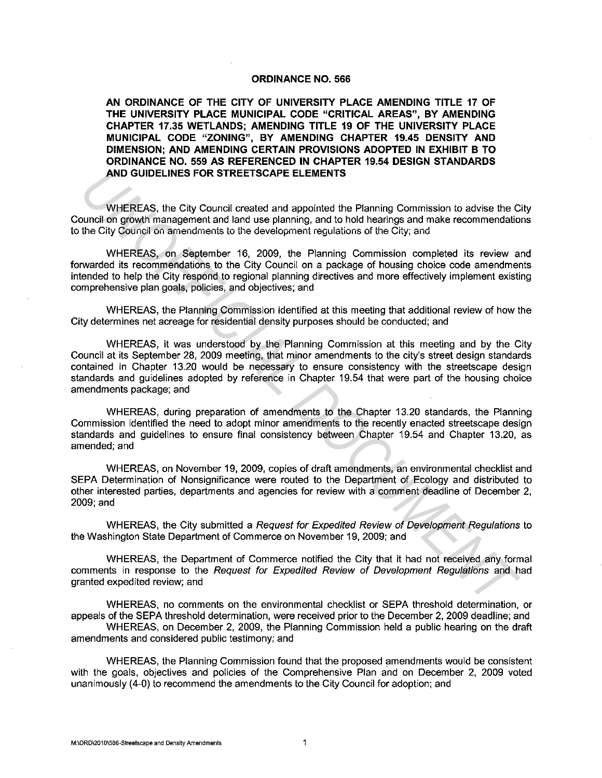#### **ORDINANCE NO. 566**

**AN ORDINANCE OF THE CITY OF UNIVERSITY PLACE AMENDING TITLE 17 OF THE UNIVERSITY PLACE MUNICIPAL CODE "CRITICAL AREAS", BY AMENDING CHAPTER 17.35 WETLANDS; AMENDING TITLE 19 OF THE UNIVERSITY PLACE MUNICIPAL CODE "ZONING", BY AMENDING CHAPTER 19.45 DENSITY AND DIMENSION; AND AMENDING CERTAIN PROVISIONS ADOPTED IN EXHIBIT B TO ORDINANCE NO. 559 AS REFERENCED IN CHAPTER 19.54 DESIGN STANDARDS AND GUIDELINES FOR STREETSCAPE ELEMENTS** 

WHEREAS, the City Council created and appointed the Planning Commission to advise the City Council on growth management and land use planning, and to hold hearings and make recommendations **to the City Council on amendments to the development regulations of the City; and** 

WHEREAS, on September 16, 2009, the Planning Commission completed its review and forwarded its recommendations to the City Council on a package of housing choice code amendments intended to help the City respond to regional planning directives and more effectively implement existing comprehensive plan goals, policies, and objectives; and

WHEREAS, the Planning Commission identified at this meeting that additional review of how the City determines net acreage for residential density purposes should be conducted; and

WHEREAS, it was understood by the Planning Commission at this meeting and by the City Council at its September 28, 2009 meeting, that minor amendments to the city's street design standards contained in Chapter 13.20 would be necessary to ensure consistency with the streetscape design standards and guidelines adopted by reference in Chapter 19.54 that were part of the housing choice amendments package; and **AND GUIDELINES FOR STREETSCAPE ELEMENTS**<br>
WHEREAS, the City Council created and appointed the Planning Commission to advise the C<br>
untural of growth management and aland use planning, and to hold hearings and make recomme

WHEREAS, during preparation of amendments to the Chapter 13.20 standards, the Planning Commission identified the need to adopt minor amendments to the recently enacted streetscape design standards and guidelines to ensure final consistency between Chapter 19.54 and Chapter 13.20, as amended; and

WHEREAS, on November 19, 2009, copies of draft amendments, an environmental checklist and SEPA Determination of Nonsignificance were routed to the Department of Ecology and distributed to other interested parties, departments and agencies for review with a comment deadline of December 2, 2009;and

WHEREAS, the City submitted a Request for Expedited Review of Development Regulations to the Washington State Department of Commerce on November 19, 2009; and

WHEREAS, the Department of Commerce notified the City that it had not received any formal comments in response to the Request for Expedited Review of Development Regulations and had granted expedited review; and

WHEREAS, no comments on the environmental checklist or SEPA threshold determination, or appeals of the SEPA threshold determination, were received prior to the December 2, 2009 deadline; and WHEREAS, on December 2, 2009, the Planning Commission held a public hearing on the draft amendments and considered public testimony; and

WHEREAS, the Planning Commission found that the proposed amendments would be consistent with the goals, objectives and policies of the Comprehensive Plan and on December 2, 2009 voted unanimously (4-0) to recommend the amendments to the City Council for adoption; and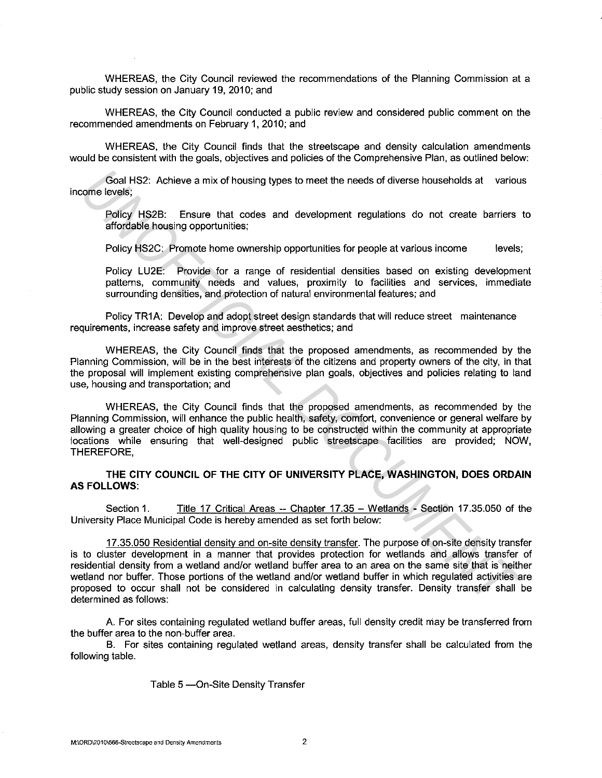WHEREAS, the City Council reviewed the recommendations of the Planning Commission at a public study session on January 19, 2010; and

WHEREAS, the City Council conducted a public review and considered public comment on the recommended amendments on February 1, 2010; and

WHEREAS, the City Council finds that the streetscape and density calculation amendments would be consistent with the goals, objectives and policies of the Comprehensive Plan, as outlined below:

Goal HS2: Achieve a mix of housing types to meet the needs of diverse households at various income levels;

Policy HS2B: Ensure that codes and development regulations do not create barriers to affordable housing opportunities;

Policy HS2C: Promote home ownership opportunities for people at various income levels;

Policy LU2E: Provide for a range of residential densities based on existing development patterns, community needs and values, proximity to facilities and services, immediate surrounding densities, and protection of natural environmental features; and

Policy TR1A: Develop and adopt street design standards that will reduce street maintenance requirements, increase safety and improve street aesthetics; and

WHEREAS, the City Council finds that the proposed amendments, as recommended by the Planning Commission, will be in the best interests of the citizens and property owners of the city, in that the proposal will implement existing comprehensive plan goals, objectives and policies relating to land use, housing and transportation; and

WHEREAS, the City Council finds that the proposed amendments, as recommended by the Planning Commission, will enhance the public health, safety, comfort, convenience or general welfare by allowing a greater choice of high quality housing to be constructed within the community at appropriate locations while ensuring that well-designed public streetscape facilities are provided; NOW, THEREFORE,

**THE CITY COUNCIL OF THE CITY OF UNIVERSITY PLACE, WASHINGTON, DOES ORDAIN AS FOLLOWS:** 

Section 1. Title 17 Critical Areas -- Chapter 17.35 - Wetlands - Section 17.35.050 of the University Place Municipal Code is hereby amended as set forth below:

17 .35.050 Residential density and on-site density transfer. The purpose of on-site density transfer is to cluster development in a manner that provides protection for wetlands and allows transfer of residential density from a wetland and/or wetland buffer area to an area on the same site that is neither wetland nor buffer. Those portions of the wetland and/or wetland buffer in which regulated activities are proposed to occur shall not be considered in calculating density transfer. Density transfer shall be determined as follows: Goal HS2: Achieve a mix of housing types to meet the needs of diverse households at various recome levels,<br>
Policy HS2E: Ensure that codes and development regulations do not create barriers<br>
affordable housing opportunitie

A. For sites containing regulated wetland buffer areas, full density credit may be transferred from the buffer area to the non-buffer area.

B. For sites containing regulated wetland areas, density transfer shall be calculated from the following table.

Table 5 - On-Site Density Transfer

**M:\ORD\2010\566-Streetscape and Density Amendments** 2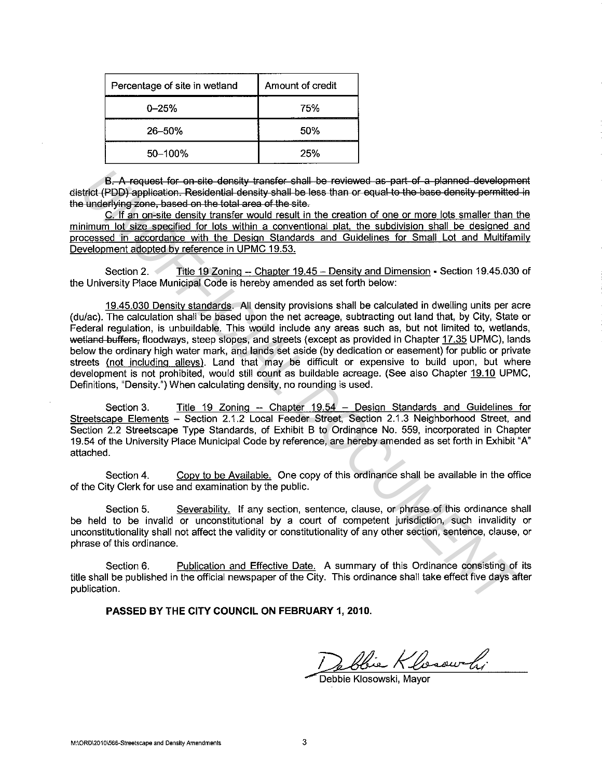| Percentage of site in wetland | Amount of credit |  |  |  |
|-------------------------------|------------------|--|--|--|
| $0 - 25%$                     | 75%              |  |  |  |
| $26 - 50%$                    | 50%              |  |  |  |
| 50-100%                       | 25%              |  |  |  |

B. A request for on site density transfer shall be reviewed as part of a planned development district (PDD) application. Residential density shall be less than or equal to the base density permitted in the underlying zone, based on the total area of the site.

C. If an on-site density transfer would result in the creation of one or more lots smaller than the minimum lot size specified for lots within a conventional plat, the subdivision shall be designed and processed in accordance with the Design Standards and Guidelines for Small Lot and Multifamily Development adopted by reference in UPMC 19.53.

Section 2. Title 19 Zoning -- Chapter 19.45 -- Density and Dimension - Section 19.45.030 of the University Place Municipal Code is hereby amended as set forth below:

19.45.030 Density standards. All density provisions shall be calculated in dwelling units per acre (du/ac). The calculation shall be based upon the net acreage, subtracting out land that, by City, State or Federal regulation, is unbuildable. This would include any areas such as, but not limited to, wetlands, wetland buffers, floodways, steep slopes, and streets (except as provided in Chapter 17.35 UPMC), lands below the ordinary high water mark, and lands set aside (by dedication or easement) for public or private streets (not including alleys). Land that may be difficult or expensive to build upon, but where development is not prohibited, would still count as buildable acreage. (See also Chapter 19.10 UPMC, Definitions, "Density.") When calculating density, no rounding is used. **B.** A request for on-site density-transfer shall be reviewed as-part of a-planned development<br>
Unit (FDD)-application. Residential density-shall be less than or equal to the base density-permitted<br>
Unit on the first of th

Section 3. Title 19 Zoning -- Chapter 19.54 - Design Standards and Guidelines for Streetscape Elements - Section 2.1.2 Local Feeder Street, Section 2.1.3 Neighborhood Street, and Section 2.2 Streetscape Type Standards, of Exhibit B to Ordinance No. 559, incorporated in Chapter 19.54 of the University Place Municipal Code by reference, are hereby amended as set forth in Exhibit "A" attached.

Section 4. Copy to be Available. One copy of this ordinance shall be available in the office of the City Clerk for use and examination by the public.

Section 5. Severability. If any section, sentence, clause, or phrase of this ordinance shall be held to be invalid or unconstitutional by a court of competent jurisdiction, such invalidity or unconstitutionality shall not affect the validity or constitutionality of any other section, sentence, clause, or phrase of this ordinance.

Section 6. Publication and Effective Date. A summary of this Ordinance consisting of its title shall be published in the official newspaper of the City. This ordinance shall take effect five days after publication.

PASSED BY THE CITY COUNCIL ON FEBRUARY 1, 2010.

Debbie Klosowski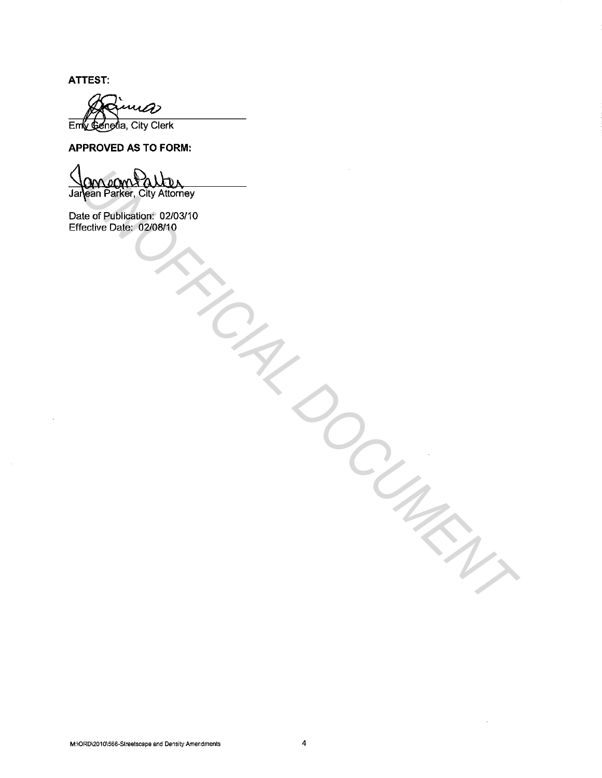**ATTEST:** 

a> Emy Genetia, City Clerk

**APPROVED AS TO FORM:** 

**OCAL AGORS ALLALAR CONSUMERANT**<br>
Agen Parker, City Altomey<br>
Clearbe Date: 62/08/10<br>
Clearbe Date: 62/08/10<br>
Clearbe Date: 62/08/10<br>
Clearbe Date: 7/10/10/10<br>
Clearbe Date: 7/10/10/10

Date of Publication: 02/03/10 Effective Date: 02/08/10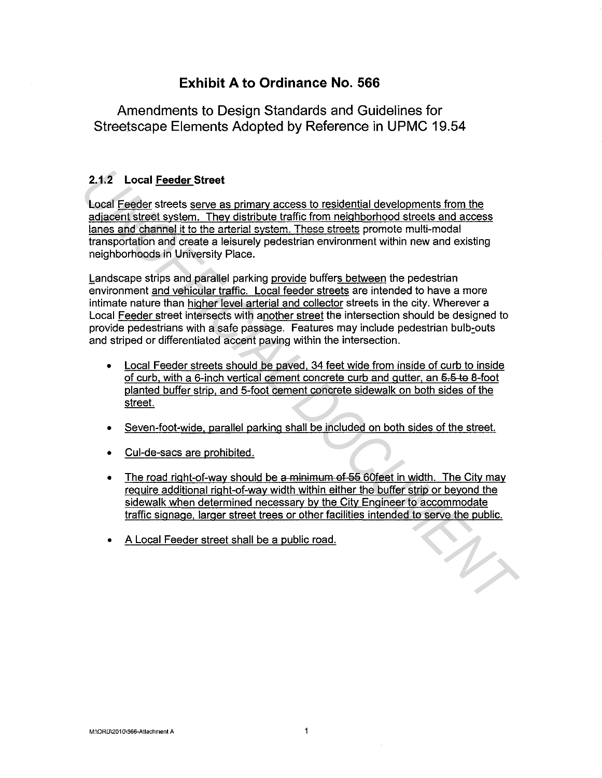## **Exhibit A to Ordinance No. 566**

Amendments to Design Standards and Guidelines for Streetscape Elements Adopted by Reference in UPMC 19.54

### 2.1.2 Local Feeder Street

Local Feeder streets serve as primary access to residential developments from the adjacent street system. They distribute traffic from neighborhood streets and access lanes and channel it to the arterial system. These streets promote multi-modal transportation and create a leisurely pedestrian environment within new and existing neighborhoods in University Place.

Landscape strips and parallel parking provide buffers between the pedestrian environment and vehicular traffic. Local feeder streets are intended to have a more intimate nature than higher level arterial and collector streets in the city. Wherever a Local Feeder street intersects with another street the intersection should be designed to provide pedestrians with a safe passage. Features may include pedestrian bulb:outs and striped or differentiated accent paving within the intersection. 2.1.2 Local <u>Feeder</u> Street<br>
Local F<u>eder</u> Street<br>
Local Feder streets serve as primary access to residential developments from the<br>
sciences and channel it to the arterial system. These streets promote artistical states<br>

- Local Feeder streets should be paved, 34 feet wide from inside of curb to inside of curb, with a 6-inch vertical cement concrete curb and gutter, an 5.5 to 8-foot planted buffer strip, and 5-foot cement concrete sidewalk on both sides of the street.
- Seven-foot-wide. parallel parking shall be included on both sides of the street.
- Cul-de-sacs are prohibited.
- The road right-of-way should be a minimum of 55 60feet in width. The City may require additional right-of-way width within either the buffer strip or beyond the sidewalk when determined necessary by the City Engineer to accommodate traffic signage, larger street trees or other facilities intended to serve the public.
- A Local Feeder street shall be a public road.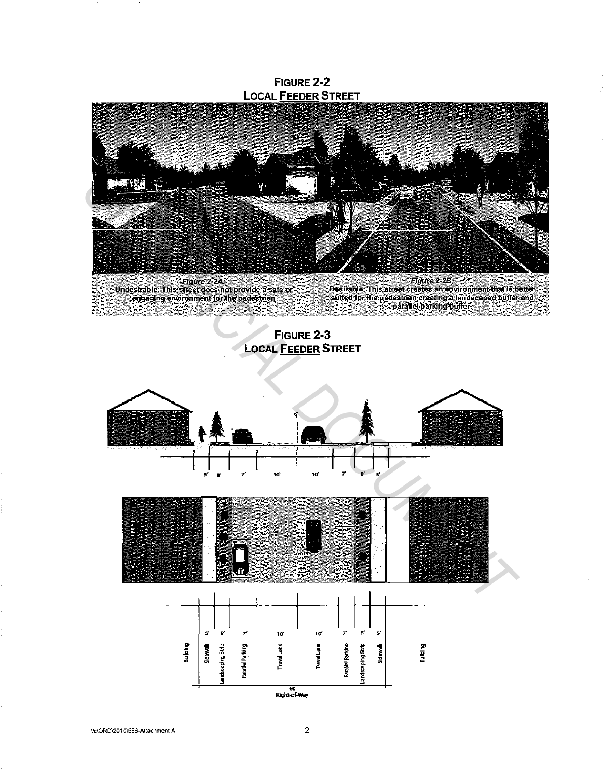FIGURE 2-2 **LOCAL FEEDER STREET** Figure 2-2B:<br>Desirable: This street creates an environment that is better<br>suited for the pedestrian creating a landscaped buffer and<br>parallel parking buffer. Figure 2-24:<br>Undestrable: This street does not provide a safe or<br>engaging environment for the pedestrian FIGURE 2-3

**LOCAL FEEDER STREET** 

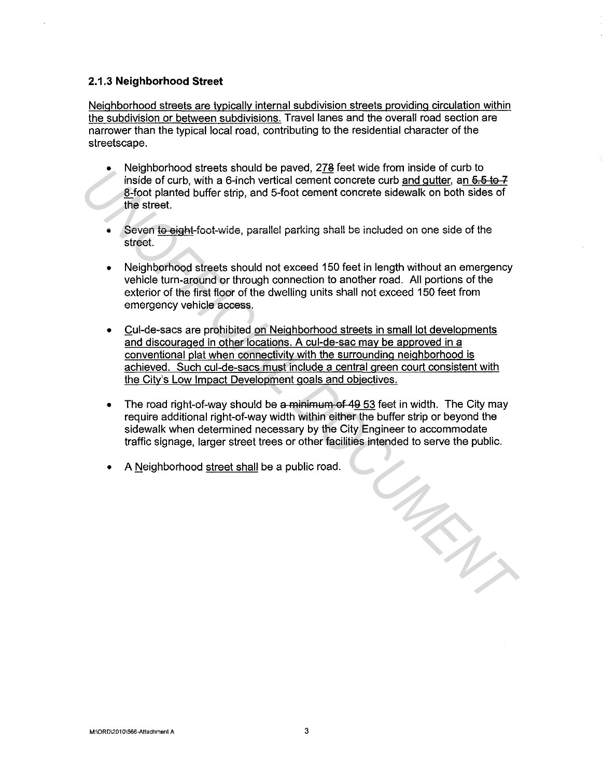#### **2.1.3 Neighborhood Street**

Neighborhood streets are typically internal subdivision streets providing circulation within the subdivision or between subdivisions. Travel lanes and the overall road section are narrower than the typical local road, contributing to the residential character of the streetscape.

- Neighborhood streets should be paved, 278 feet wide from inside of curb to inside of curb, with a 6-inch vertical cement concrete curb and gutter, an  $6.5 \text{ to } 7$ 8-foot planted buffer strip, and 5-foot cement concrete sidewalk on both sides of the street.
- **Seven to eight foot-vvide, parallel parking shall be included on one side of the**  street.
- Neighborhood streets should not exceed 150 feet in length without an emergency vehicle turn-around or through connection to another road. All portions of the exterior of the first floor of the dwelling units shall not exceed 150 feet from emergency vehicle access.
- Cul-de-sacs are prohibited on Neighborhood streets in small lot developments and discouraged in other locations. A cul-de-sac may be approved in a conventional plat when connectivity with the surrounding neighborhood is achieved. Such cul-de-sacs must include a central green court consistent with the City's Low Impact Development goals and objectives. Frequired bursts should be pavel, ziel ere when in this cost of care in the state of courts, the state of courts of the steel.<br> **Example 10** to the state of the state of the state of the state of the state of the state.<br>
	- The road right-of-way should be a minimum of 49 53 feet in width. The City may require additional right-of-way width within either the buffer strip or beyond the sidewalk when determined necessary by the City Engineer to accommodate traffic signage, larger street trees or other facilities intended to serve the public.
	- A Neighborhood street shall be a public road.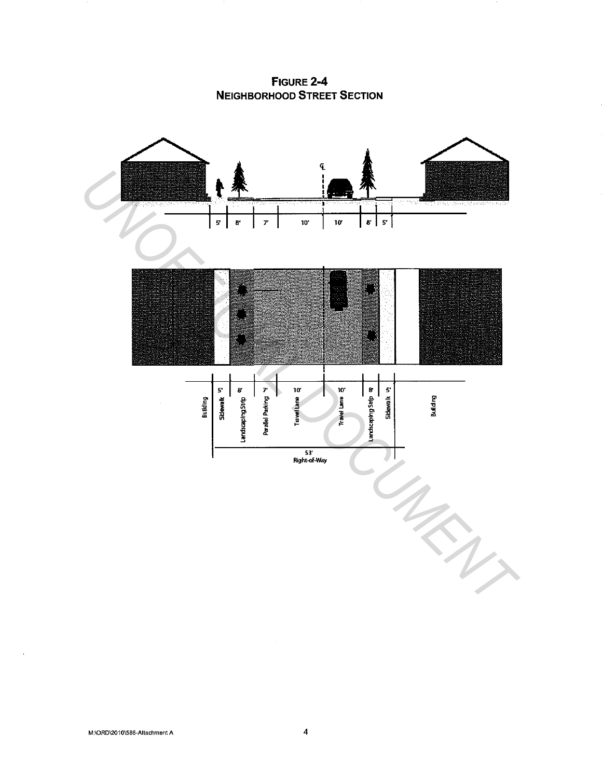FIGURE 2-4 **NEIGHBORHOOD STREET SECTION** 



 $\mathcal{A}$